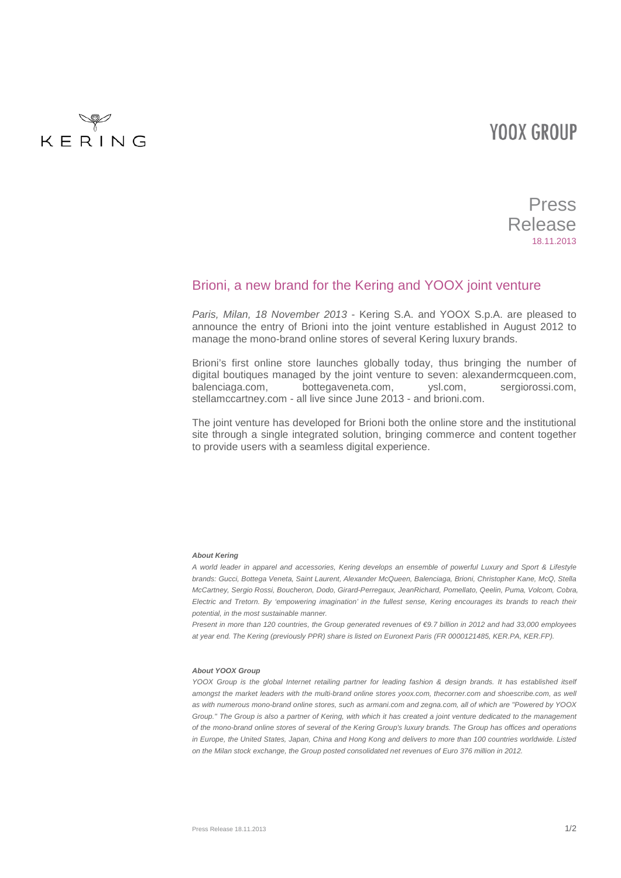## **YOOX GROUP**



## Press Release 18.11.2013

### Brioni, a new brand for the Kering and YOOX joint venture

*Paris, Milan, 18 November 2013* - Kering S.A. and YOOX S.p.A. are pleased to announce the entry of Brioni into the joint venture established in August 2012 to manage the mono-brand online stores of several Kering luxury brands.

Brioni's first online store launches globally today, thus bringing the number of digital boutiques managed by the joint venture to seven: alexandermcqueen.com, balenciaga.com, bottegaveneta.com, ysl.com, sergiorossi.com, stellamccartney.com - all live since June 2013 - and brioni.com.

The joint venture has developed for Brioni both the online store and the institutional site through a single integrated solution, bringing commerce and content together to provide users with a seamless digital experience.

#### *About Kering*

*A world leader in apparel and accessories, Kering develops an ensemble of powerful Luxury and Sport & Lifestyle brands: Gucci, Bottega Veneta, Saint Laurent, Alexander McQueen, Balenciaga, Brioni, Christopher Kane, McQ, Stella McCartney, Sergio Rossi, Boucheron, Dodo, Girard-Perregaux, JeanRichard, Pomellato, Qeelin, Puma, Volcom, Cobra, Electric and Tretorn. By 'empowering imagination' in the fullest sense, Kering encourages its brands to reach their potential, in the most sustainable manner.*

*Present in more than 120 countries, the Group generated revenues of €9.7 billion in 2012 and had 33,000 employees at year end. The Kering (previously PPR) share is listed on Euronext Paris (FR 0000121485, KER.PA, KER.FP).*

#### *About YOOX Group*

*YOOX Group is the global Internet retailing partner for leading fashion & design brands. It has established itself* amongst the market leaders with the multi-brand online stores yoox.com, thecorner.com and shoescribe.com, as well *as with numerous mono-brand online stores, such as armani.com and zegna.com, all of which are "Powered by YOOX Group." The Group is also a partner of Kering, with which it has created a joint venture dedicated to the management of the mono-brand online stores of several of the Kering Group's luxury brands. The Group has offices and operations in Europe, the United States, Japan, China and Hong Kong and delivers to more than 100 countries worldwide. Listed on the Milan stock exchange, the Group posted consolidated net revenues of Euro 376 million in 2012.*